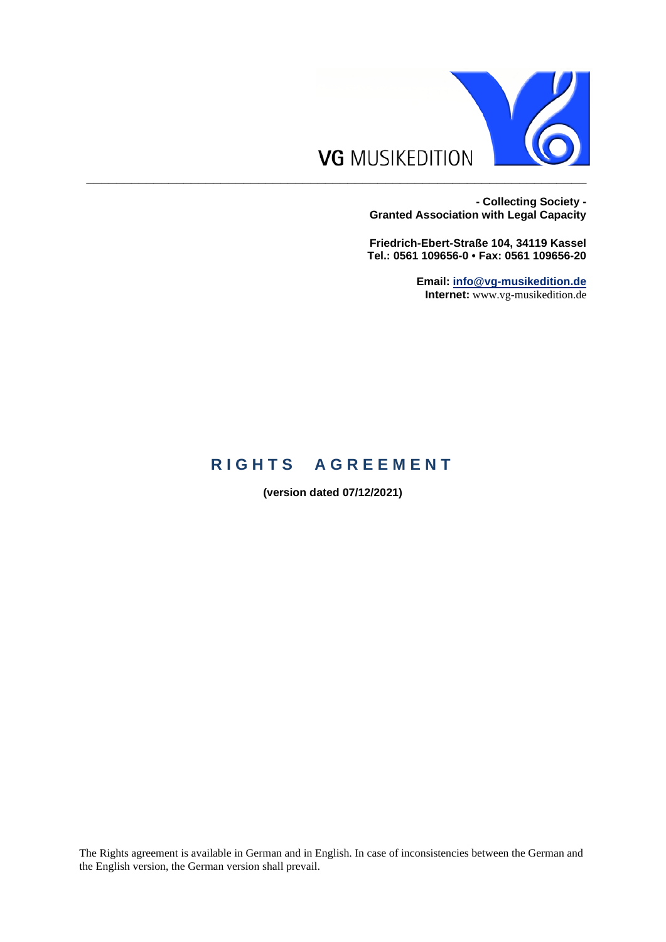

**- Collecting Society - Granted Association with Legal Capacity**

**Friedrich-Ebert-Straße 104, 34119 Kassel Tel.: 0561 109656-0 • Fax: 0561 109656-20**

> **Email: [info@vg-musikedition.de](mailto:info@vg-musikedition.de) Internet:** www.vg-musikedition.de

## **RIGHTS AGREEMENT**

**(version dated 07/12/2021)**

The Rights agreement is available in German and in English. In case of inconsistencies between the German and the English version, the German version shall prevail.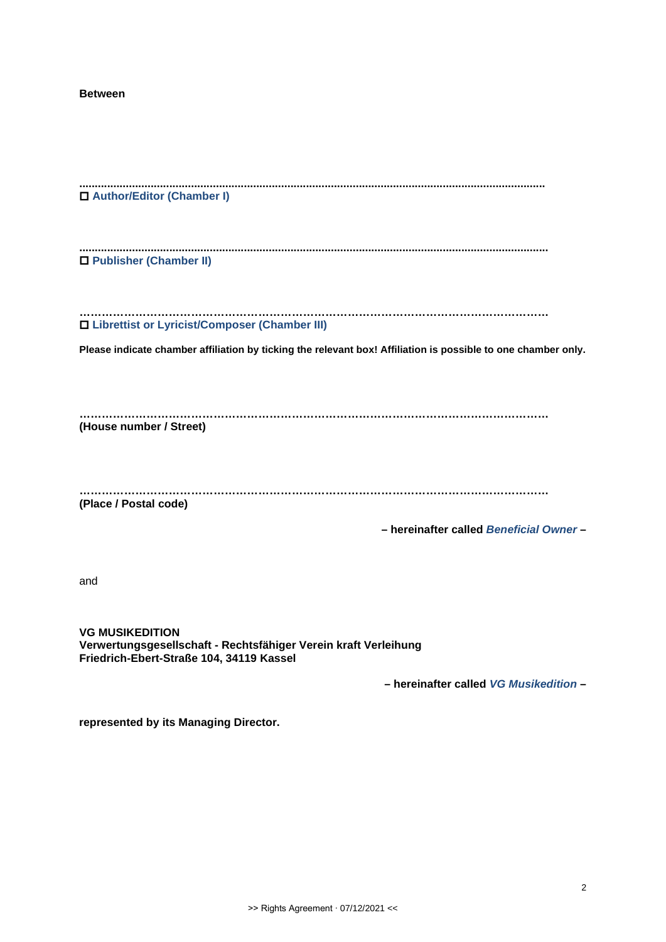**Between**

| □ Author/Editor (Chamber I)                                                                                                                                      |  |
|------------------------------------------------------------------------------------------------------------------------------------------------------------------|--|
| □ Publisher (Chamber II)                                                                                                                                         |  |
| □ Librettist or Lyricist/Composer (Chamber III)<br>Please indicate chamber affiliation by ticking the relevant box! Affiliation is possible to one chamber only. |  |
|                                                                                                                                                                  |  |
| (House number / Street)                                                                                                                                          |  |
| (Place / Postal code)<br>- hereinafter called Beneficial Owner-                                                                                                  |  |
| and                                                                                                                                                              |  |
| <b>VG MUSIKEDITION</b><br>Verwertungsgesellschaft - Rechtsfähiger Verein kraft Verleihung<br>Friedrich-Ebert-Straße 104, 34119 Kassel                            |  |
| - hereinafter called VG Musikedition-                                                                                                                            |  |
| represented by its Managing Director.                                                                                                                            |  |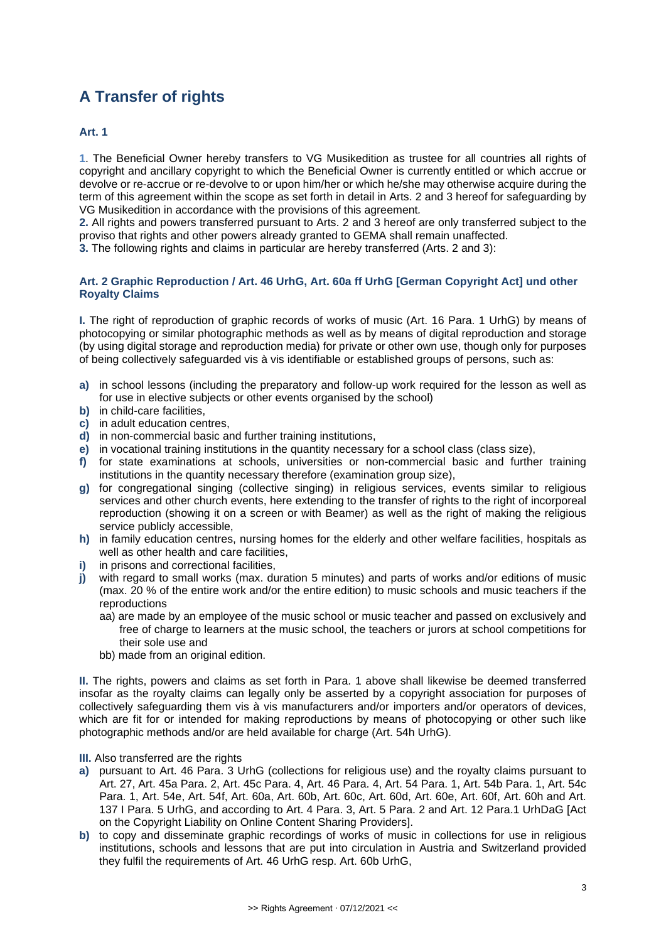# **A Transfer of rights**

## **Art. 1**

**1**. The Beneficial Owner hereby transfers to VG Musikedition as trustee for all countries all rights of copyright and ancillary copyright to which the Beneficial Owner is currently entitled or which accrue or devolve or re-accrue or re-devolve to or upon him/her or which he/she may otherwise acquire during the term of this agreement within the scope as set forth in detail in Arts. 2 and 3 hereof for safeguarding by VG Musikedition in accordance with the provisions of this agreement*.*

**2.** All rights and powers transferred pursuant to Arts. 2 and 3 hereof are only transferred subject to the proviso that rights and other powers already granted to GEMA shall remain unaffected.

**3.** The following rights and claims in particular are hereby transferred (Arts. 2 and 3):

#### **Art. 2 Graphic Reproduction / Art. 46 UrhG, Art. 60a ff UrhG [German Copyright Act] und other Royalty Claims**

**I.** The right of reproduction of graphic records of works of music (Art. 16 Para. 1 UrhG) by means of photocopying or similar photographic methods as well as by means of digital reproduction and storage (by using digital storage and reproduction media) for private or other own use, though only for purposes of being collectively safeguarded vis à vis identifiable or established groups of persons, such as:

- **a)** in school lessons (including the preparatory and follow-up work required for the lesson as well as for use in elective subjects or other events organised by the school)
- **b)** in child-care facilities,
- **c)** in adult education centres,
- **d)** in non-commercial basic and further training institutions,
- **e)** in vocational training institutions in the quantity necessary for a school class (class size),
- **f)** for state examinations at schools, universities or non-commercial basic and further training institutions in the quantity necessary therefore (examination group size),
- **g)** for congregational singing (collective singing) in religious services, events similar to religious services and other church events, here extending to the transfer of rights to the right of incorporeal reproduction (showing it on a screen or with Beamer) as well as the right of making the religious service publicly accessible,
- **h)** in family education centres, nursing homes for the elderly and other welfare facilities, hospitals as well as other health and care facilities,
- in prisons and correctional facilities.
- **j)** with regard to small works (max. duration 5 minutes) and parts of works and/or editions of music (max. 20 % of the entire work and/or the entire edition) to music schools and music teachers if the reproductions
	- aa) are made by an employee of the music school or music teacher and passed on exclusively and free of charge to learners at the music school, the teachers or jurors at school competitions for their sole use and
	- bb) made from an original edition.

**II.** The rights, powers and claims as set forth in Para. 1 above shall likewise be deemed transferred insofar as the royalty claims can legally only be asserted by a copyright association for purposes of collectively safeguarding them vis à vis manufacturers and/or importers and/or operators of devices, which are fit for or intended for making reproductions by means of photocopying or other such like photographic methods and/or are held available for charge (Art. 54h UrhG).

#### **III.** Also transferred are the rights

- **a)** pursuant to Art. 46 Para. 3 UrhG (collections for religious use) and the royalty claims pursuant to Art. 27, Art. 45a Para. 2, Art. 45c Para. 4, Art. 46 Para. 4, Art. 54 Para. 1, Art. 54b Para. 1, Art. 54c Para. 1, Art. 54e, Art. 54f, Art. 60a, Art. 60b, Art. 60c, Art. 60d, Art. 60e, Art. 60f, Art. 60h and Art. 137 I Para. 5 UrhG, and according to Art. 4 Para. 3, Art. 5 Para. 2 and Art. 12 Para.1 UrhDaG [Act on the Copyright Liability on Online Content Sharing Providers].
- **b)** to copy and disseminate graphic recordings of works of music in collections for use in religious institutions, schools and lessons that are put into circulation in Austria and Switzerland provided they fulfil the requirements of Art. 46 UrhG resp. Art. 60b UrhG,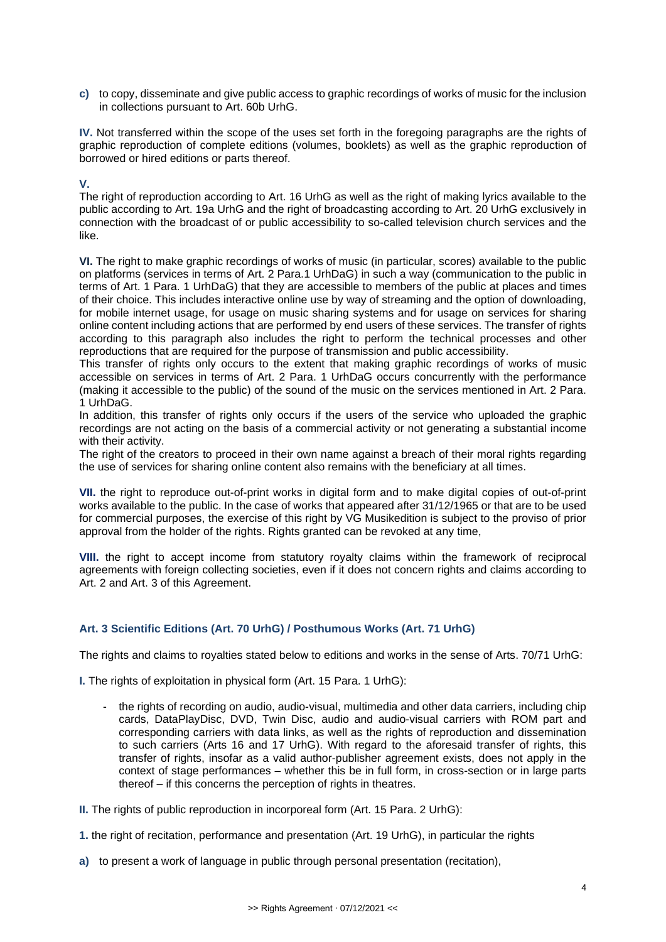**c)** to copy, disseminate and give public access to graphic recordings of works of music for the inclusion in collections pursuant to Art. 60b UrhG.

**IV.** Not transferred within the scope of the uses set forth in the foregoing paragraphs are the rights of graphic reproduction of complete editions (volumes, booklets) as well as the graphic reproduction of borrowed or hired editions or parts thereof.

## **V.**

The right of reproduction according to Art. 16 UrhG as well as the right of making lyrics available to the public according to Art. 19a UrhG and the right of broadcasting according to Art. 20 UrhG exclusively in connection with the broadcast of or public accessibility to so-called television church services and the like.

**VI.** The right to make graphic recordings of works of music (in particular, scores) available to the public on platforms (services in terms of Art. 2 Para.1 UrhDaG) in such a way (communication to the public in terms of Art. 1 Para. 1 UrhDaG) that they are accessible to members of the public at places and times of their choice. This includes interactive online use by way of streaming and the option of downloading, for mobile internet usage, for usage on music sharing systems and for usage on services for sharing online content including actions that are performed by end users of these services. The transfer of rights according to this paragraph also includes the right to perform the technical processes and other reproductions that are required for the purpose of transmission and public accessibility.

This transfer of rights only occurs to the extent that making graphic recordings of works of music accessible on services in terms of Art. 2 Para. 1 UrhDaG occurs concurrently with the performance (making it accessible to the public) of the sound of the music on the services mentioned in Art. 2 Para. 1 UrhDaG.

In addition, this transfer of rights only occurs if the users of the service who uploaded the graphic recordings are not acting on the basis of a commercial activity or not generating a substantial income with their activity.

The right of the creators to proceed in their own name against a breach of their moral rights regarding the use of services for sharing online content also remains with the beneficiary at all times.

**VII.** the right to reproduce out-of-print works in digital form and to make digital copies of out-of-print works available to the public. In the case of works that appeared after 31/12/1965 or that are to be used for commercial purposes, the exercise of this right by VG Musikedition is subject to the proviso of prior approval from the holder of the rights. Rights granted can be revoked at any time,

**VIII.** the right to accept income from statutory royalty claims within the framework of reciprocal agreements with foreign collecting societies, even if it does not concern rights and claims according to Art. 2 and Art. 3 of this Agreement.

## **Art. 3 Scientific Editions (Art. 70 UrhG) / Posthumous Works (Art. 71 UrhG)**

The rights and claims to royalties stated below to editions and works in the sense of Arts. 70/71 UrhG:

**I.** The rights of exploitation in physical form (Art. 15 Para. 1 UrhG):

- the rights of recording on audio, audio-visual, multimedia and other data carriers, including chip cards, DataPlayDisc, DVD, Twin Disc, audio and audio-visual carriers with ROM part and corresponding carriers with data links, as well as the rights of reproduction and dissemination to such carriers (Arts 16 and 17 UrhG). With regard to the aforesaid transfer of rights, this transfer of rights, insofar as a valid author-publisher agreement exists, does not apply in the context of stage performances – whether this be in full form, in cross-section or in large parts thereof – if this concerns the perception of rights in theatres.

**II.** The rights of public reproduction in incorporeal form (Art. 15 Para. 2 UrhG):

**1.** the right of recitation, performance and presentation (Art. 19 UrhG), in particular the rights

**a)** to present a work of language in public through personal presentation (recitation),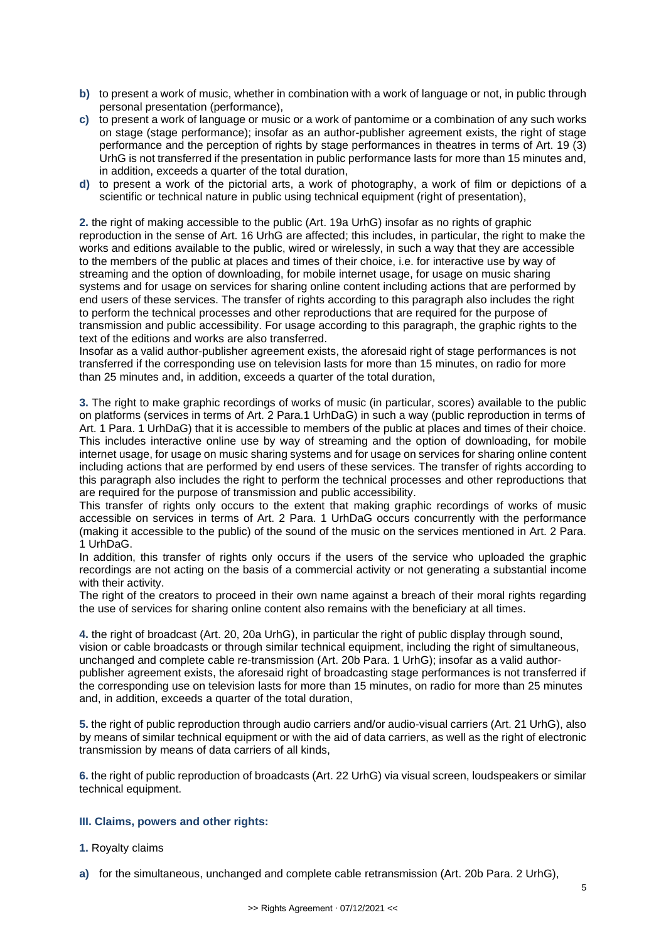- **b)** to present a work of music, whether in combination with a work of language or not, in public through personal presentation (performance),
- **c)** to present a work of language or music or a work of pantomime or a combination of any such works on stage (stage performance); insofar as an author-publisher agreement exists, the right of stage performance and the perception of rights by stage performances in theatres in terms of Art. 19 (3) UrhG is not transferred if the presentation in public performance lasts for more than 15 minutes and, in addition, exceeds a quarter of the total duration,
- **d)** to present a work of the pictorial arts, a work of photography, a work of film or depictions of a scientific or technical nature in public using technical equipment (right of presentation),

**2.** the right of making accessible to the public (Art. 19a UrhG) insofar as no rights of graphic reproduction in the sense of Art. 16 UrhG are affected; this includes, in particular, the right to make the works and editions available to the public, wired or wirelessly, in such a way that they are accessible to the members of the public at places and times of their choice, i.e. for interactive use by way of streaming and the option of downloading, for mobile internet usage, for usage on music sharing systems and for usage on services for sharing online content including actions that are performed by end users of these services. The transfer of rights according to this paragraph also includes the right to perform the technical processes and other reproductions that are required for the purpose of transmission and public accessibility. For usage according to this paragraph, the graphic rights to the text of the editions and works are also transferred.

Insofar as a valid author-publisher agreement exists, the aforesaid right of stage performances is not transferred if the corresponding use on television lasts for more than 15 minutes, on radio for more than 25 minutes and, in addition, exceeds a quarter of the total duration,

**3.** The right to make graphic recordings of works of music (in particular, scores) available to the public on platforms (services in terms of Art. 2 Para.1 UrhDaG) in such a way (public reproduction in terms of Art. 1 Para. 1 UrhDaG) that it is accessible to members of the public at places and times of their choice. This includes interactive online use by way of streaming and the option of downloading, for mobile internet usage, for usage on music sharing systems and for usage on services for sharing online content including actions that are performed by end users of these services. The transfer of rights according to this paragraph also includes the right to perform the technical processes and other reproductions that are required for the purpose of transmission and public accessibility.

This transfer of rights only occurs to the extent that making graphic recordings of works of music accessible on services in terms of Art. 2 Para. 1 UrhDaG occurs concurrently with the performance (making it accessible to the public) of the sound of the music on the services mentioned in Art. 2 Para. 1 UrhDaG.

In addition, this transfer of rights only occurs if the users of the service who uploaded the graphic recordings are not acting on the basis of a commercial activity or not generating a substantial income with their activity.

The right of the creators to proceed in their own name against a breach of their moral rights regarding the use of services for sharing online content also remains with the beneficiary at all times.

**4.** the right of broadcast (Art. 20, 20a UrhG), in particular the right of public display through sound, vision or cable broadcasts or through similar technical equipment, including the right of simultaneous, unchanged and complete cable re-transmission (Art. 20b Para. 1 UrhG); insofar as a valid authorpublisher agreement exists, the aforesaid right of broadcasting stage performances is not transferred if the corresponding use on television lasts for more than 15 minutes, on radio for more than 25 minutes and, in addition, exceeds a quarter of the total duration,

**5.** the right of public reproduction through audio carriers and/or audio-visual carriers (Art. 21 UrhG), also by means of similar technical equipment or with the aid of data carriers, as well as the right of electronic transmission by means of data carriers of all kinds,

**6.** the right of public reproduction of broadcasts (Art. 22 UrhG) via visual screen, loudspeakers or similar technical equipment.

#### **III. Claims, powers and other rights:**

- **1.** Royalty claims
- **a)** for the simultaneous, unchanged and complete cable retransmission (Art. 20b Para. 2 UrhG),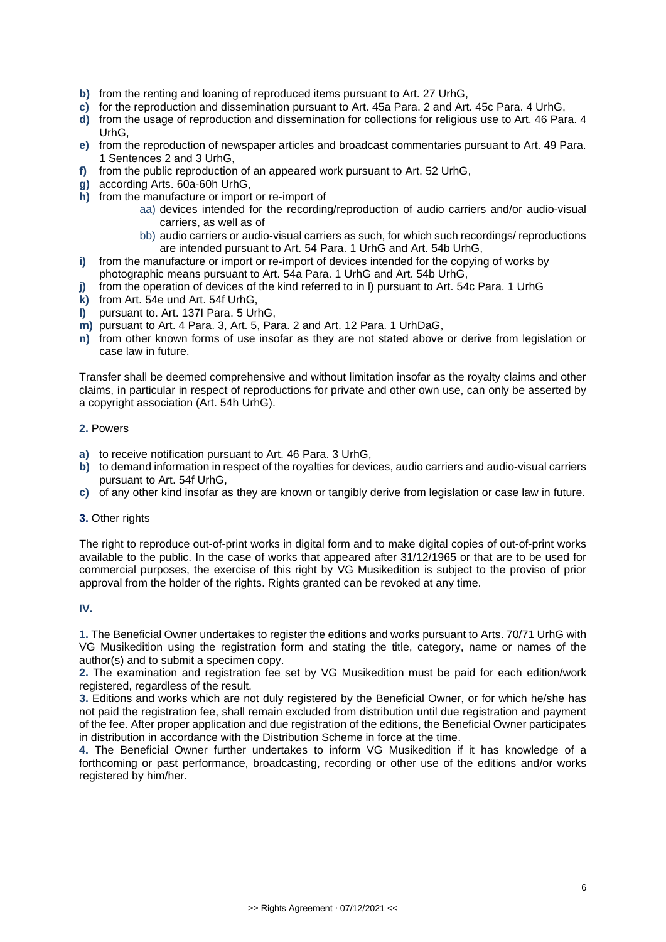- **b)** from the renting and loaning of reproduced items pursuant to Art. 27 UrhG,
- **c)** for the reproduction and dissemination pursuant to Art. 45a Para. 2 and Art. 45c Para. 4 UrhG,
- **d)** from the usage of reproduction and dissemination for collections for religious use to Art. 46 Para. 4 UrhG,
- **e)** from the reproduction of newspaper articles and broadcast commentaries pursuant to Art. 49 Para. 1 Sentences 2 and 3 UrhG,
- **f)** from the public reproduction of an appeared work pursuant to Art. 52 UrhG,
- **g)** according Arts. 60a-60h UrhG,
- **h)** from the manufacture or import or re-import of
	- aa) devices intended for the recording/reproduction of audio carriers and/or audio-visual carriers, as well as of
	- bb) audio carriers or audio-visual carriers as such, for which such recordings/ reproductions are intended pursuant to Art. 54 Para. 1 UrhG and Art. 54b UrhG,
- **i)** from the manufacture or import or re-import of devices intended for the copying of works by photographic means pursuant to Art. 54a Para. 1 UrhG and Art. 54b UrhG,
- **j)** from the operation of devices of the kind referred to in l) pursuant to Art. 54c Para. 1 UrhG
- **k)** from Art. 54e und Art. 54f UrhG,
- **l)** pursuant to. Art. 137I Para. 5 UrhG,
- **m)** pursuant to Art. 4 Para. 3, Art. 5, Para. 2 and Art. 12 Para. 1 UrhDaG,
- **n)** from other known forms of use insofar as they are not stated above or derive from legislation or case law in future.

Transfer shall be deemed comprehensive and without limitation insofar as the royalty claims and other claims, in particular in respect of reproductions for private and other own use, can only be asserted by a copyright association (Art. 54h UrhG).

#### **2.** Powers

- **a)** to receive notification pursuant to Art. 46 Para. 3 UrhG,
- **b)** to demand information in respect of the royalties for devices, audio carriers and audio-visual carriers pursuant to Art. 54f UrhG,
- **c)** of any other kind insofar as they are known or tangibly derive from legislation or case law in future.

#### **3.** Other rights

The right to reproduce out-of-print works in digital form and to make digital copies of out-of-print works available to the public. In the case of works that appeared after 31/12/1965 or that are to be used for commercial purposes, the exercise of this right by VG Musikedition is subject to the proviso of prior approval from the holder of the rights. Rights granted can be revoked at any time.

## **IV.**

**1.** The Beneficial Owner undertakes to register the editions and works pursuant to Arts. 70/71 UrhG with VG Musikedition using the registration form and stating the title, category, name or names of the author(s) and to submit a specimen copy.

**2.** The examination and registration fee set by VG Musikedition must be paid for each edition/work registered, regardless of the result.

**3.** Editions and works which are not duly registered by the Beneficial Owner, or for which he/she has not paid the registration fee, shall remain excluded from distribution until due registration and payment of the fee. After proper application and due registration of the editions, the Beneficial Owner participates in distribution in accordance with the Distribution Scheme in force at the time.

**4.** The Beneficial Owner further undertakes to inform VG Musikedition if it has knowledge of a forthcoming or past performance, broadcasting, recording or other use of the editions and/or works registered by him/her.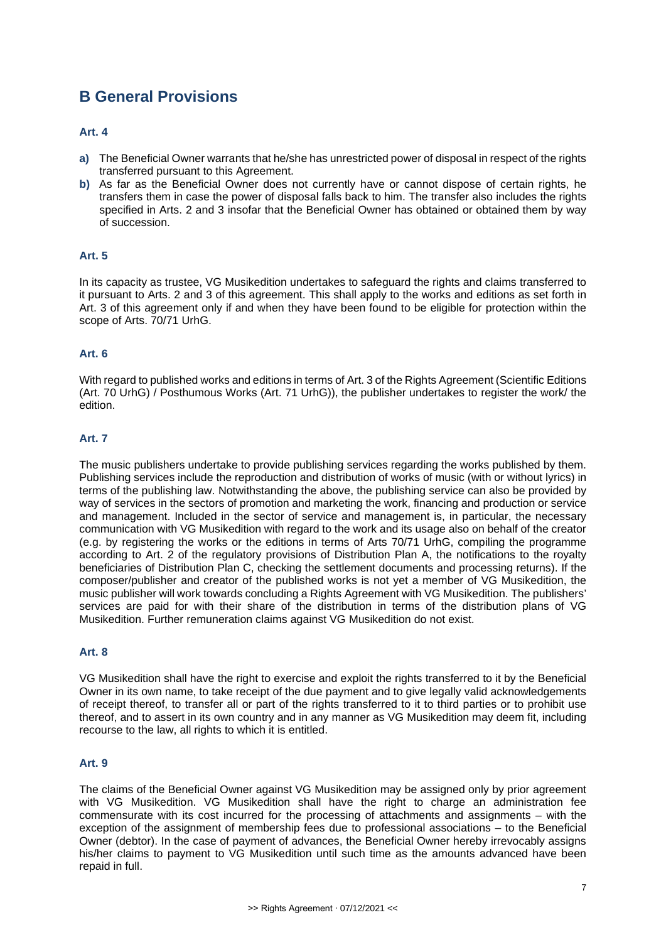## **B General Provisions**

#### **Art. 4**

- **a)** The Beneficial Owner warrants that he/she has unrestricted power of disposal in respect of the rights transferred pursuant to this Agreement.
- **b)** As far as the Beneficial Owner does not currently have or cannot dispose of certain rights, he transfers them in case the power of disposal falls back to him. The transfer also includes the rights specified in Arts. 2 and 3 insofar that the Beneficial Owner has obtained or obtained them by way of succession.

## **Art. 5**

In its capacity as trustee, VG Musikedition undertakes to safeguard the rights and claims transferred to it pursuant to Arts. 2 and 3 of this agreement. This shall apply to the works and editions as set forth in Art. 3 of this agreement only if and when they have been found to be eligible for protection within the scope of Arts. 70/71 UrhG.

## **Art. 6**

With regard to published works and editions in terms of Art. 3 of the Rights Agreement (Scientific Editions (Art. 70 UrhG) / Posthumous Works (Art. 71 UrhG)), the publisher undertakes to register the work/ the edition.

## **Art. 7**

The music publishers undertake to provide publishing services regarding the works published by them. Publishing services include the reproduction and distribution of works of music (with or without lyrics) in terms of the publishing law. Notwithstanding the above, the publishing service can also be provided by way of services in the sectors of promotion and marketing the work, financing and production or service and management. Included in the sector of service and management is, in particular, the necessary communication with VG Musikedition with regard to the work and its usage also on behalf of the creator (e.g. by registering the works or the editions in terms of Arts 70/71 UrhG, compiling the programme according to Art. 2 of the regulatory provisions of Distribution Plan A, the notifications to the royalty beneficiaries of Distribution Plan C, checking the settlement documents and processing returns). If the composer/publisher and creator of the published works is not yet a member of VG Musikedition, the music publisher will work towards concluding a Rights Agreement with VG Musikedition. The publishers' services are paid for with their share of the distribution in terms of the distribution plans of VG Musikedition. Further remuneration claims against VG Musikedition do not exist.

## **Art. 8**

VG Musikedition shall have the right to exercise and exploit the rights transferred to it by the Beneficial Owner in its own name, to take receipt of the due payment and to give legally valid acknowledgements of receipt thereof, to transfer all or part of the rights transferred to it to third parties or to prohibit use thereof, and to assert in its own country and in any manner as VG Musikedition may deem fit, including recourse to the law, all rights to which it is entitled.

## **Art. 9**

The claims of the Beneficial Owner against VG Musikedition may be assigned only by prior agreement with VG Musikedition. VG Musikedition shall have the right to charge an administration fee commensurate with its cost incurred for the processing of attachments and assignments – with the exception of the assignment of membership fees due to professional associations – to the Beneficial Owner (debtor). In the case of payment of advances, the Beneficial Owner hereby irrevocably assigns his/her claims to payment to VG Musikedition until such time as the amounts advanced have been repaid in full.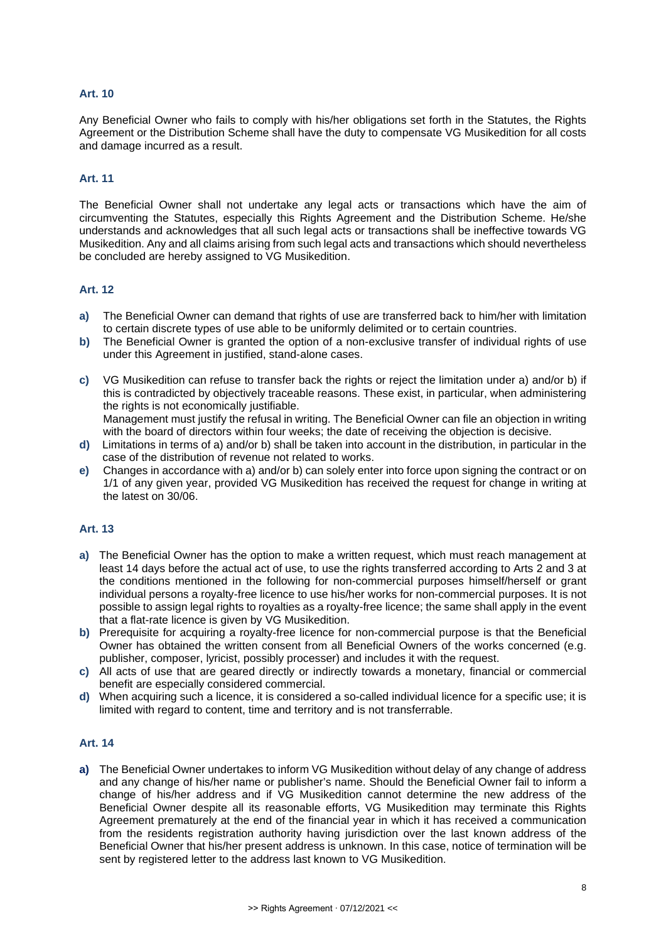#### **Art. 10**

Any Beneficial Owner who fails to comply with his/her obligations set forth in the Statutes, the Rights Agreement or the Distribution Scheme shall have the duty to compensate VG Musikedition for all costs and damage incurred as a result.

#### **Art. 11**

The Beneficial Owner shall not undertake any legal acts or transactions which have the aim of circumventing the Statutes, especially this Rights Agreement and the Distribution Scheme. He/she understands and acknowledges that all such legal acts or transactions shall be ineffective towards VG Musikedition. Any and all claims arising from such legal acts and transactions which should nevertheless be concluded are hereby assigned to VG Musikedition.

#### **Art. 12**

- **a)** The Beneficial Owner can demand that rights of use are transferred back to him/her with limitation to certain discrete types of use able to be uniformly delimited or to certain countries.
- **b)** The Beneficial Owner is granted the option of a non-exclusive transfer of individual rights of use under this Agreement in justified, stand-alone cases.
- **c)** VG Musikedition can refuse to transfer back the rights or reject the limitation under a) and/or b) if this is contradicted by objectively traceable reasons. These exist, in particular, when administering the rights is not economically justifiable. Management must justify the refusal in writing. The Beneficial Owner can file an objection in writing

with the board of directors within four weeks; the date of receiving the objection is decisive.

- **d)** Limitations in terms of a) and/or b) shall be taken into account in the distribution, in particular in the case of the distribution of revenue not related to works.
- **e)** Changes in accordance with a) and/or b) can solely enter into force upon signing the contract or on 1/1 of any given year, provided VG Musikedition has received the request for change in writing at the latest on 30/06.

#### **Art. 13**

- **a)** The Beneficial Owner has the option to make a written request, which must reach management at least 14 days before the actual act of use, to use the rights transferred according to Arts 2 and 3 at the conditions mentioned in the following for non-commercial purposes himself/herself or grant individual persons a royalty-free licence to use his/her works for non-commercial purposes. It is not possible to assign legal rights to royalties as a royalty-free licence; the same shall apply in the event that a flat-rate licence is given by VG Musikedition.
- **b)** Prerequisite for acquiring a royalty-free licence for non-commercial purpose is that the Beneficial Owner has obtained the written consent from all Beneficial Owners of the works concerned (e.g. publisher, composer, lyricist, possibly processer) and includes it with the request.
- **c)** All acts of use that are geared directly or indirectly towards a monetary, financial or commercial benefit are especially considered commercial.
- **d)** When acquiring such a licence, it is considered a so-called individual licence for a specific use; it is limited with regard to content, time and territory and is not transferrable.

#### **Art. 14**

**a)** The Beneficial Owner undertakes to inform VG Musikedition without delay of any change of address and any change of his/her name or publisher's name. Should the Beneficial Owner fail to inform a change of his/her address and if VG Musikedition cannot determine the new address of the Beneficial Owner despite all its reasonable efforts, VG Musikedition may terminate this Rights Agreement prematurely at the end of the financial year in which it has received a communication from the residents registration authority having jurisdiction over the last known address of the Beneficial Owner that his/her present address is unknown. In this case, notice of termination will be sent by registered letter to the address last known to VG Musikedition.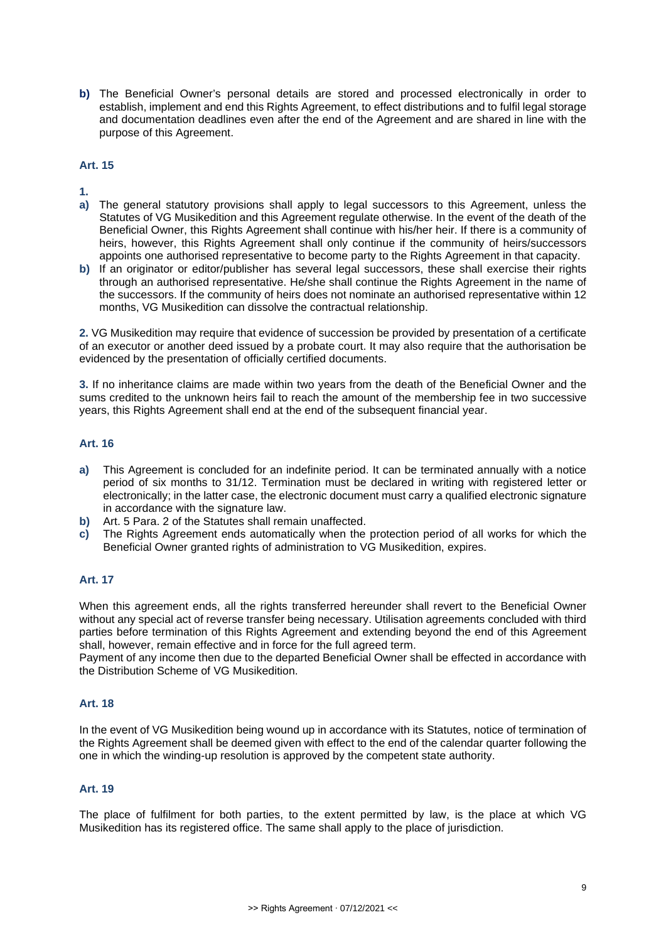**b)** The Beneficial Owner's personal details are stored and processed electronically in order to establish, implement and end this Rights Agreement, to effect distributions and to fulfil legal storage and documentation deadlines even after the end of the Agreement and are shared in line with the purpose of this Agreement.

#### **Art. 15**

**1.**

- **a)** The general statutory provisions shall apply to legal successors to this Agreement, unless the Statutes of VG Musikedition and this Agreement regulate otherwise. In the event of the death of the Beneficial Owner, this Rights Agreement shall continue with his/her heir. If there is a community of heirs, however, this Rights Agreement shall only continue if the community of heirs/successors appoints one authorised representative to become party to the Rights Agreement in that capacity.
- **b)** If an originator or editor/publisher has several legal successors, these shall exercise their rights through an authorised representative. He/she shall continue the Rights Agreement in the name of the successors. If the community of heirs does not nominate an authorised representative within 12 months, VG Musikedition can dissolve the contractual relationship.

**2.** VG Musikedition may require that evidence of succession be provided by presentation of a certificate of an executor or another deed issued by a probate court. It may also require that the authorisation be evidenced by the presentation of officially certified documents.

**3.** If no inheritance claims are made within two years from the death of the Beneficial Owner and the sums credited to the unknown heirs fail to reach the amount of the membership fee in two successive years, this Rights Agreement shall end at the end of the subsequent financial year.

## **Art. 16**

- **a)** This Agreement is concluded for an indefinite period. It can be terminated annually with a notice period of six months to 31/12. Termination must be declared in writing with registered letter or electronically; in the latter case, the electronic document must carry a qualified electronic signature in accordance with the signature law.
- **b)** Art. 5 Para. 2 of the Statutes shall remain unaffected.
- **c)** The Rights Agreement ends automatically when the protection period of all works for which the Beneficial Owner granted rights of administration to VG Musikedition, expires.

## **Art. 17**

When this agreement ends, all the rights transferred hereunder shall revert to the Beneficial Owner without any special act of reverse transfer being necessary. Utilisation agreements concluded with third parties before termination of this Rights Agreement and extending beyond the end of this Agreement shall, however, remain effective and in force for the full agreed term.

Payment of any income then due to the departed Beneficial Owner shall be effected in accordance with the Distribution Scheme of VG Musikedition.

## **Art. 18**

In the event of VG Musikedition being wound up in accordance with its Statutes, notice of termination of the Rights Agreement shall be deemed given with effect to the end of the calendar quarter following the one in which the winding-up resolution is approved by the competent state authority.

## **Art. 19**

The place of fulfilment for both parties, to the extent permitted by law, is the place at which VG Musikedition has its registered office. The same shall apply to the place of jurisdiction.